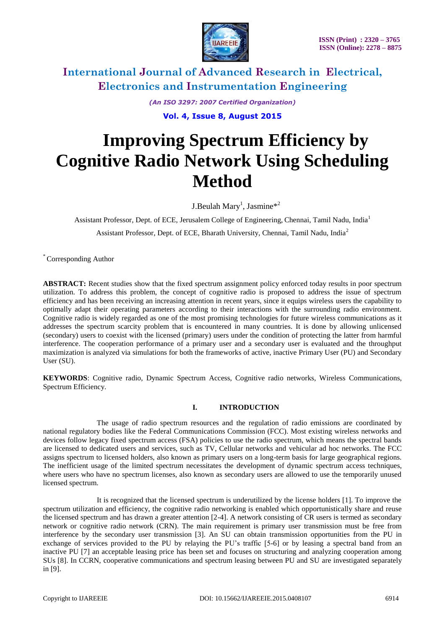

*(An ISO 3297: 2007 Certified Organization)* **Vol. 4, Issue 8, August 2015**

# **Improving Spectrum Efficiency by Cognitive Radio Network Using Scheduling Method**

J.Beulah Mary<sup>1</sup>, Jasmine\*<sup>2</sup>

Assistant Professor, Dept. of ECE, Jerusalem College of Engineering, Chennai, Tamil Nadu, India<sup>1</sup> Assistant Professor, Dept. of ECE, Bharath University, Chennai, Tamil Nadu, India<sup>2</sup>

\* Corresponding Author

**ABSTRACT:** Recent studies show that the fixed spectrum assignment policy enforced today results in poor spectrum utilization. To address this problem, the concept of cognitive radio is proposed to address the issue of spectrum efficiency and has been receiving an increasing attention in recent years, since it equips wireless users the capability to optimally adapt their operating parameters according to their interactions with the surrounding radio environment. Cognitive radio is widely regarded as one of the most promising technologies for future wireless communications as it addresses the spectrum scarcity problem that is encountered in many countries. It is done by allowing unlicensed (secondary) users to coexist with the licensed (primary) users under the condition of protecting the latter from harmful interference. The cooperation performance of a primary user and a secondary user is evaluated and the throughput maximization is analyzed via simulations for both the frameworks of active, inactive Primary User (PU) and Secondary User (SU).

**KEYWORDS**: Cognitive radio, Dynamic Spectrum Access, Cognitive radio networks, Wireless Communications, Spectrum Efficiency.

### **I. INTRODUCTION**

The usage of radio spectrum resources and the regulation of radio emissions are coordinated by national regulatory bodies like the Federal Communications Commission (FCC). Most existing wireless networks and devices follow legacy fixed spectrum access (FSA) policies to use the radio spectrum, which means the spectral bands are licensed to dedicated users and services, such as TV, Cellular networks and vehicular ad hoc networks. The FCC assigns spectrum to licensed holders, also known as primary users on a long-term basis for large geographical regions. The inefficient usage of the limited spectrum necessitates the development of dynamic spectrum access techniques, where users who have no spectrum licenses, also known as secondary users are allowed to use the temporarily unused licensed spectrum.

It is recognized that the licensed spectrum is underutilized by the license holders [1]. To improve the spectrum utilization and efficiency, the cognitive radio networking is enabled which opportunistically share and reuse the licensed spectrum and has drawn a greater attention [2-4]. A network consisting of CR users is termed as secondary network or cognitive radio network (CRN). The main requirement is primary user transmission must be free from interference by the secondary user transmission [3]. An SU can obtain transmission opportunities from the PU in exchange of services provided to the PU by relaying the PU's traffic [5-6] or by leasing a spectral band from an inactive PU [7] an acceptable leasing price has been set and focuses on structuring and analyzing cooperation among SUs [8]. In CCRN, cooperative communications and spectrum leasing between PU and SU are investigated separately in [9].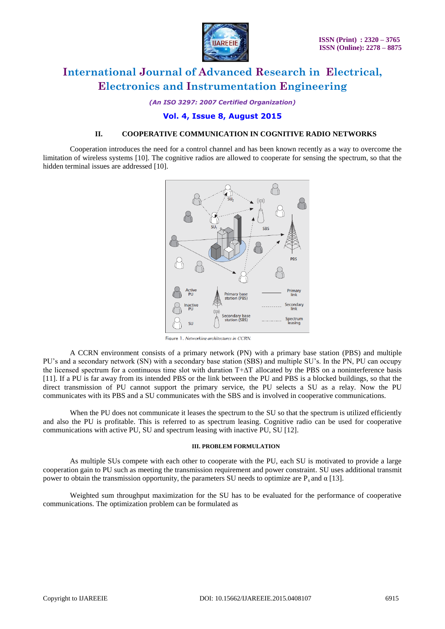

*(An ISO 3297: 2007 Certified Organization)*

### **Vol. 4, Issue 8, August 2015**

#### **II. COOPERATIVE COMMUNICATION IN COGNITIVE RADIO NETWORKS**

Cooperation introduces the need for a control channel and has been known recently as a way to overcome the limitation of wireless systems [10]. The cognitive radios are allowed to cooperate for sensing the spectrum, so that the hidden terminal issues are addressed [10].



Figure 1. Networking architectures in CCRN

A CCRN environment consists of a primary network (PN) with a primary base station (PBS) and multiple PU's and a secondary network (SN) with a secondary base station (SBS) and multiple SU's. In the PN, PU can occupy the licensed spectrum for a continuous time slot with duration T+∆T allocated by the PBS on a noninterference basis [11]. If a PU is far away from its intended PBS or the link between the PU and PBS is a blocked buildings, so that the direct transmission of PU cannot support the primary service, the PU selects a SU as a relay. Now the PU communicates with its PBS and a SU communicates with the SBS and is involved in cooperative communications.

When the PU does not communicate it leases the spectrum to the SU so that the spectrum is utilized efficiently and also the PU is profitable. This is referred to as spectrum leasing. Cognitive radio can be used for cooperative communications with active PU, SU and spectrum leasing with inactive PU, SU [12].

#### **III. PROBLEM FORMULATION**

As multiple SUs compete with each other to cooperate with the PU, each SU is motivated to provide a large cooperation gain to PU such as meeting the transmission requirement and power constraint. SU uses additional transmit power to obtain the transmission opportunity, the parameters SU needs to optimize are  $P_s$  and  $\alpha$  [13].

Weighted sum throughput maximization for the SU has to be evaluated for the performance of cooperative communications. The optimization problem can be formulated as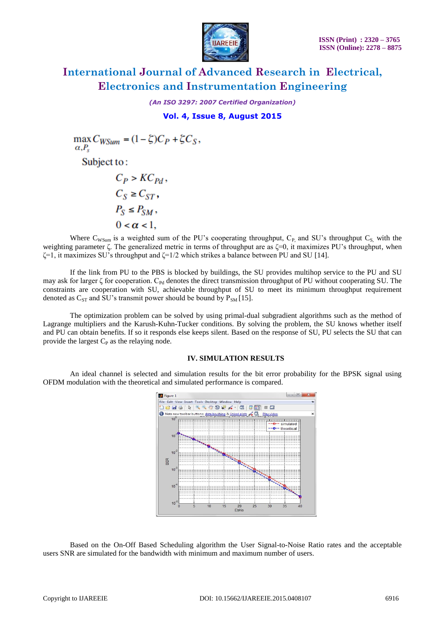

*(An ISO 3297: 2007 Certified Organization)*

### **Vol. 4, Issue 8, August 2015**

 $\max C_{WSum} = (1 - \zeta)C_P + \zeta C_S,$  $\alpha, P_s$ Subject to:  $C_P > KC_{Pd}$ ,  $C_S \geq C_{ST}$ ,  $P_S \leq P_{SM}$ ,  $0 < \alpha < 1$ .

Where  $C_{WSum}$  is a weighted sum of the PU's cooperating throughput,  $C_{P_1}$  and SU's throughput  $C_{S_2}$  with the weighting parameter ζ. The generalized metric in terms of throughput are as ζ=0, it maximizes PU's throughput, when  $\zeta$ =1, it maximizes SU's throughput and  $\zeta$ =1/2 which strikes a balance between PU and SU [14].

If the link from PU to the PBS is blocked by buildings, the SU provides multihop service to the PU and SU may ask for larger  $\zeta$  for cooperation. C<sub>Pd</sub> denotes the direct transmission throughput of PU without cooperating SU. The constraints are cooperation with SU, achievable throughput of SU to meet its minimum throughput requirement denoted as  $C_{ST}$  and SU's transmit power should be bound by  $P_{SM}$  [15].

The optimization problem can be solved by using primal-dual subgradient algorithms such as the method of Lagrange multipliers and the Karush-Kuhn-Tucker conditions. By solving the problem, the SU knows whether itself and PU can obtain benefits. If so it responds else keeps silent. Based on the response of SU, PU selects the SU that can provide the largest  $C_P$  as the relaying node.

#### **IV. SIMULATION RESULTS**

An ideal channel is selected and simulation results for the bit error probability for the BPSK signal using OFDM modulation with the theoretical and simulated performance is compared.



Based on the On-Off Based Scheduling algorithm the User Signal-to-Noise Ratio rates and the acceptable users SNR are simulated for the bandwidth with minimum and maximum number of users.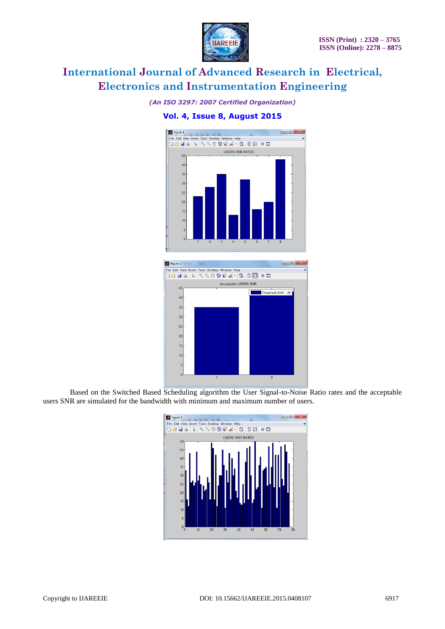

*(An ISO 3297: 2007 Certified Organization)*

### **Vol. 4, Issue 8, August 2015**





Based on the Switched Based Scheduling algorithm the User Signal-to-Noise Ratio rates and the acceptable users SNR are simulated for the bandwidth with minimum and maximum number of users.

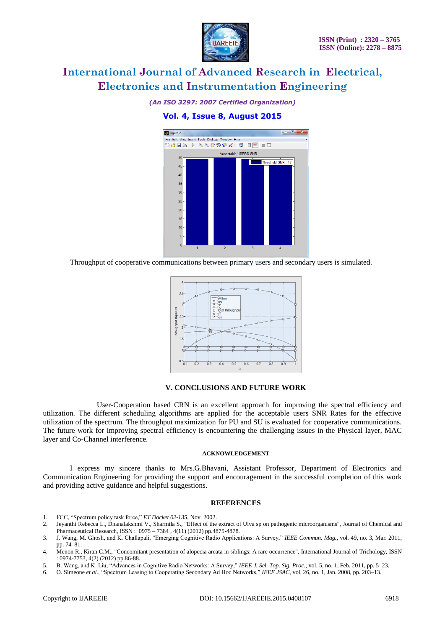

*(An ISO 3297: 2007 Certified Organization)*

### **Vol. 4, Issue 8, August 2015**



Throughput of cooperative communications between primary users and secondary users is simulated.



#### **V. CONCLUSIONS AND FUTURE WORK**

User-Cooperation based CRN is an excellent approach for improving the spectral efficiency and utilization. The different scheduling algorithms are applied for the acceptable users SNR Rates for the effective utilization of the spectrum. The throughput maximization for PU and SU is evaluated for cooperative communications. The future work for improving spectral efficiency is encountering the challenging issues in the Physical layer, MAC layer and Co-Channel interference.

#### **ACKNOWLEDGEMENT**

I express my sincere thanks to Mrs.G.Bhavani, Assistant Professor, Department of Electronics and Communication Engineering for providing the support and encouragement in the successful completion of this work and providing active guidance and helpful suggestions.

#### **REFERENCES**

- 1. FCC, "Spectrum policy task force," *ET Docket 02-135*, Nov. 2002.
- 2. Jeyanthi Rebecca L., Dhanalakshmi V., Sharmila S., "Effect of the extract of Ulva sp on pathogenic microorganisms", Journal of Chemical and Pharmaceutical Research, ISSN : 0975 – 7384 , 4(11) (2012) pp.4875-4878.
- 3. J. Wang, M. Ghosh, and K. Challapali, "Emerging Cognitive Radio Applications: A Survey," *IEEE Commun. Mag.*, vol. 49, no. 3, Mar. 2011, pp. 74–81.
- 4. Menon R., Kiran C.M., "Concomitant presentation of alopecia areata in siblings: A rare occurrence", International Journal of Trichology, ISSN : 0974-7753, 4(2) (2012) pp.86-88.
- 5. B. Wang, and K. Liu, "Advances in Cognitive Radio Networks: A Survey," *IEEE J. Sel. Top. Sig. Proc.*, vol. 5, no. 1, Feb. 2011, pp. 5–23.
- 6. O. Simeone *et al.*, "Spectrum Leasing to Cooperating Secondary Ad Hoc Networks," *IEEE JSAC*, vol. 26, no. 1, Jan. 2008, pp. 203–13.